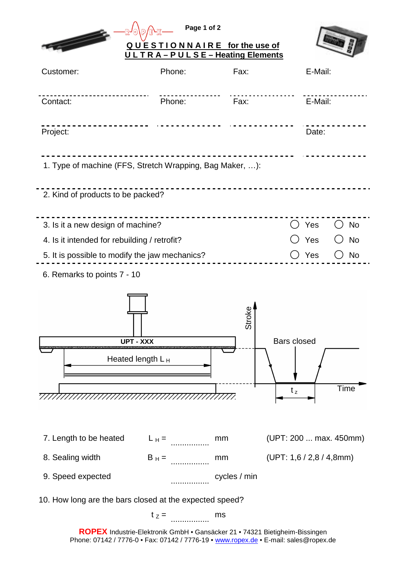|                                                                             | Page 1 of 2         |              |                             |  |  |  |
|-----------------------------------------------------------------------------|---------------------|--------------|-----------------------------|--|--|--|
| QUESTIONNAIRE for the use of<br>ULTRA-PULSE-Heating Elements                |                     |              |                             |  |  |  |
| Customer:                                                                   | Phone:              | Fax:         | E-Mail:                     |  |  |  |
| Contact:                                                                    | Phone:              | Fax:         | E-Mail:                     |  |  |  |
| Project:                                                                    |                     |              | Date:                       |  |  |  |
| 1. Type of machine (FFS, Stretch Wrapping, Bag Maker, ):                    |                     |              |                             |  |  |  |
| 2. Kind of products to be packed?                                           |                     |              |                             |  |  |  |
| 3. Is it a new design of machine?                                           |                     |              | () Yes<br><b>No</b>         |  |  |  |
| 4. Is it intended for rebuilding / retrofit?                                |                     |              | C Yes<br><b>No</b>          |  |  |  |
| 5. It is possible to modify the jaw mechanics?<br>Yes<br>No                 |                     |              |                             |  |  |  |
| 6. Remarks to points 7 - 10                                                 |                     |              |                             |  |  |  |
|                                                                             | <b>UPT - XXX</b>    | ຈັ້          | <b>Bars closed</b>          |  |  |  |
|                                                                             | Heated length $L_H$ |              |                             |  |  |  |
|                                                                             |                     |              |                             |  |  |  |
|                                                                             |                     |              | Time<br>$t_z$               |  |  |  |
| 7. Length to be heated                                                      | $L_H =$             | mm           | (UPT: 200  max. 450mm)      |  |  |  |
| 8. Sealing width                                                            | $B_H =$             | mm           | (UPT: 1, 6 / 2, 8 / 4, 8mm) |  |  |  |
| 9. Speed expected                                                           |                     | cycles / min |                             |  |  |  |
| 10. How long are the bars closed at the expected speed?                     |                     |              |                             |  |  |  |
|                                                                             | $t_z =$             | ms           |                             |  |  |  |
| ROPEX Industrie-Elektronik GmbH · Gansäcker 21 · 74321 Bietigheim-Bissingen |                     |              |                             |  |  |  |

Phone: 07142 / 7776-0 • Fax: 07142 / 7776-19 • www.ropex.de • E-mail: sales@ropex.de